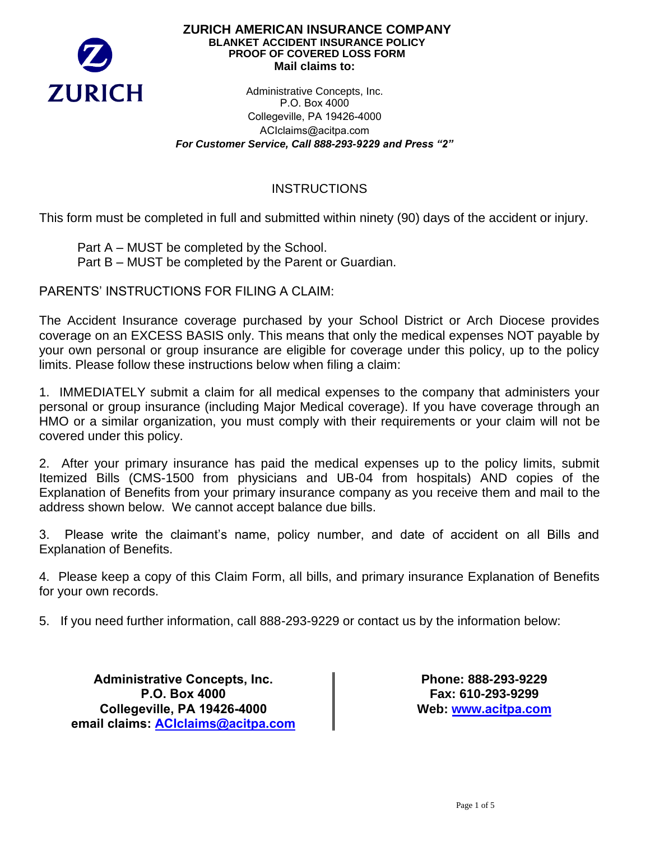

### **ZURICH AMERICAN INSURANCE COMPANY BLANKET ACCIDENT INSURANCE POLICY PROOF OF COVERED LOSS FORM Mail claims to:**

Administrative Concepts, Inc. P.O. Box 4000 Collegeville, PA 19426-4000 ACIclaims@acitpa.com *For Customer Service, Call 888-293-9229 and Press "2"*

# **INSTRUCTIONS**

This form must be completed in full and submitted within ninety (90) days of the accident or injury.

Part A – MUST be completed by the School. Part B – MUST be completed by the Parent or Guardian.

PARENTS' INSTRUCTIONS FOR FILING A CLAIM:

The Accident Insurance coverage purchased by your School District or Arch Diocese provides coverage on an EXCESS BASIS only. This means that only the medical expenses NOT payable by your own personal or group insurance are eligible for coverage under this policy, up to the policy limits. Please follow these instructions below when filing a claim:

1. IMMEDIATELY submit a claim for all medical expenses to the company that administers your personal or group insurance (including Major Medical coverage). If you have coverage through an HMO or a similar organization, you must comply with their requirements or your claim will not be covered under this policy.

2. After your primary insurance has paid the medical expenses up to the policy limits, submit Itemized Bills (CMS-1500 from physicians and UB-04 from hospitals) AND copies of the Explanation of Benefits from your primary insurance company as you receive them and mail to the address shown below. We cannot accept balance due bills.

3. Please write the claimant's name, policy number, and date of accident on all Bills and Explanation of Benefits.

4. Please keep a copy of this Claim Form, all bills, and primary insurance Explanation of Benefits for your own records.

5. If you need further information, call 888-293-9229 or contact us by the information below:

**Administrative Concepts, Inc. P.O. Box 4000 Collegeville, PA 19426-4000 email claims: ACIclaims@acitpa.com**

**Phone: 888-293-9229 Fax: 610-293-9299 We[b: www.](http://www.visit-aci.com/)acitpa.com**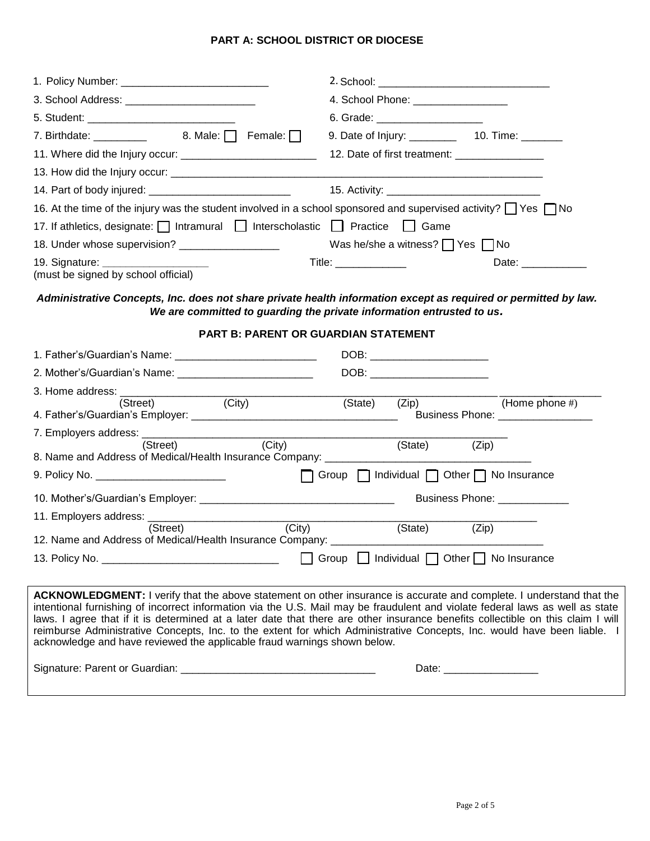# **PART A: SCHOOL DISTRICT OR DIOCESE**

|                                                                                                                                             | 4. School Phone: __________________                                                                                                                                                                                                                                                                                                                                                                                                                                                                                 |
|---------------------------------------------------------------------------------------------------------------------------------------------|---------------------------------------------------------------------------------------------------------------------------------------------------------------------------------------------------------------------------------------------------------------------------------------------------------------------------------------------------------------------------------------------------------------------------------------------------------------------------------------------------------------------|
|                                                                                                                                             | 6. Grade: ______________________                                                                                                                                                                                                                                                                                                                                                                                                                                                                                    |
| 7. Birthdate: $\begin{array}{ccc} 2 & 3 & 5 \\ 0 & 0 & 0 \end{array}$ 7. Birthdate: $\begin{array}{ccc} 3 & 3 & 5 \\ 0 & 0 & 0 \end{array}$ | 9. Date of Injury: ____________ 10. Time: _______                                                                                                                                                                                                                                                                                                                                                                                                                                                                   |
|                                                                                                                                             | 12. Date of first treatment: ___________________                                                                                                                                                                                                                                                                                                                                                                                                                                                                    |
|                                                                                                                                             |                                                                                                                                                                                                                                                                                                                                                                                                                                                                                                                     |
|                                                                                                                                             |                                                                                                                                                                                                                                                                                                                                                                                                                                                                                                                     |
| 16. At the time of the injury was the student involved in a school sponsored and supervised activity? Thes TNo                              |                                                                                                                                                                                                                                                                                                                                                                                                                                                                                                                     |
| 17. If athletics, designate:   Intramural   Interscholastic   Practice   Game                                                               |                                                                                                                                                                                                                                                                                                                                                                                                                                                                                                                     |
| 18. Under whose supervision? ___________________                                                                                            | Was he/she a witness? $\Box$ Yes $\Box$ No                                                                                                                                                                                                                                                                                                                                                                                                                                                                          |
| (must be signed by school official)                                                                                                         | $\mathsf{Title:}$<br>Date: _____________                                                                                                                                                                                                                                                                                                                                                                                                                                                                            |
| Administrative Concepts, Inc. does not share private health information except as required or permitted by law.                             | We are committed to guarding the private information entrusted to us.                                                                                                                                                                                                                                                                                                                                                                                                                                               |
| <b>PART B: PARENT OR GUARDIAN STATEMENT</b>                                                                                                 |                                                                                                                                                                                                                                                                                                                                                                                                                                                                                                                     |
|                                                                                                                                             |                                                                                                                                                                                                                                                                                                                                                                                                                                                                                                                     |
|                                                                                                                                             |                                                                                                                                                                                                                                                                                                                                                                                                                                                                                                                     |
| 3. Home address:                                                                                                                            |                                                                                                                                                                                                                                                                                                                                                                                                                                                                                                                     |
|                                                                                                                                             |                                                                                                                                                                                                                                                                                                                                                                                                                                                                                                                     |
| (City)<br>(Street)                                                                                                                          | (State)<br>(Zip)<br>(Home phone $#$ )                                                                                                                                                                                                                                                                                                                                                                                                                                                                               |
|                                                                                                                                             | Business Phone: __________________                                                                                                                                                                                                                                                                                                                                                                                                                                                                                  |
| (Street)<br>(City)<br>8. Name and Address of Medical/Health Insurance Company: ___________                                                  | (State)<br>(Zip)                                                                                                                                                                                                                                                                                                                                                                                                                                                                                                    |
| 9. Policy No. ___________________________                                                                                                   | Group   Individual   Other   No Insurance                                                                                                                                                                                                                                                                                                                                                                                                                                                                           |
|                                                                                                                                             | Business Phone: _____________                                                                                                                                                                                                                                                                                                                                                                                                                                                                                       |
|                                                                                                                                             |                                                                                                                                                                                                                                                                                                                                                                                                                                                                                                                     |
| (City)<br>(Street)<br>12. Name and Address of Medical/Health Insurance Company: ______________________                                      | (State)<br>(Zip)                                                                                                                                                                                                                                                                                                                                                                                                                                                                                                    |
|                                                                                                                                             | Group $\Box$ Individual $\Box$ Other $\Box$ No Insurance                                                                                                                                                                                                                                                                                                                                                                                                                                                            |
| acknowledge and have reviewed the applicable fraud warnings shown below.                                                                    | ACKNOWLEDGMENT: I verify that the above statement on other insurance is accurate and complete. I understand that the<br>intentional furnishing of incorrect information via the U.S. Mail may be fraudulent and violate federal laws as well as state<br>laws. I agree that if it is determined at a later date that there are other insurance benefits collectible on this claim I will<br>reimburse Administrative Concepts, Inc. to the extent for which Administrative Concepts, Inc. would have been liable. I |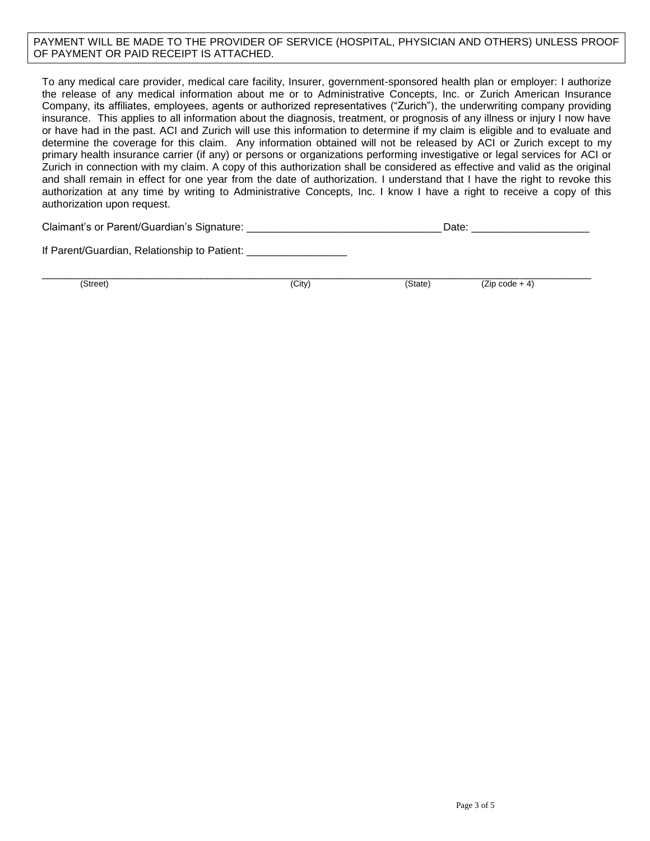#### PAYMENT WILL BE MADE TO THE PROVIDER OF SERVICE (HOSPITAL, PHYSICIAN AND OTHERS) UNLESS PROOF OF PAYMENT OR PAID RECEIPT IS ATTACHED.

To any medical care provider, medical care facility, Insurer, government-sponsored health plan or employer: I authorize the release of any medical information about me or to Administrative Concepts, Inc. or Zurich American Insurance Company, its affiliates, employees, agents or authorized representatives ("Zurich"), the underwriting company providing insurance. This applies to all information about the diagnosis, treatment, or prognosis of any illness or injury I now have or have had in the past. ACI and Zurich will use this information to determine if my claim is eligible and to evaluate and determine the coverage for this claim. Any information obtained will not be released by ACI or Zurich except to my primary health insurance carrier (if any) or persons or organizations performing investigative or legal services for ACI or Zurich in connection with my claim. A copy of this authorization shall be considered as effective and valid as the original and shall remain in effect for one year from the date of authorization. I understand that I have the right to revoke this authorization at any time by writing to Administrative Concepts, Inc. I know I have a right to receive a copy of this authorization upon request.

If Parent/Guardian, Relationship to Patient: \_

\_\_\_\_\_\_\_\_\_\_\_\_\_\_\_\_\_\_\_\_\_\_\_\_\_\_\_\_\_\_\_\_\_\_\_\_\_\_\_\_\_\_\_\_\_\_\_\_\_\_\_\_\_\_\_\_\_\_\_\_\_\_\_\_\_\_\_\_\_\_\_\_\_\_\_\_\_\_\_\_\_\_\_\_\_\_\_\_\_\_\_\_\_

(Street) (City) (State) (Zip code + 4)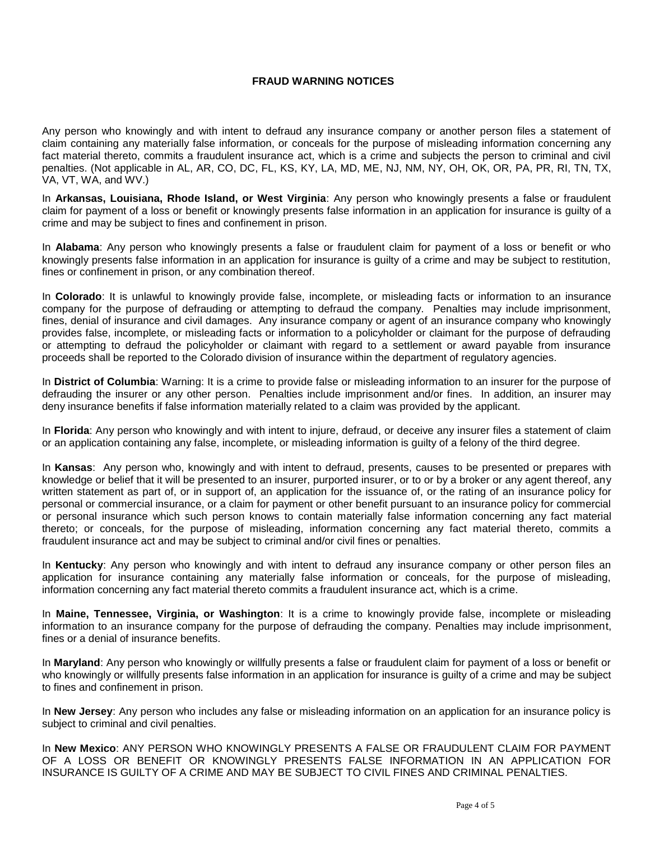## **FRAUD WARNING NOTICES**

Any person who knowingly and with intent to defraud any insurance company or another person files a statement of claim containing any materially false information, or conceals for the purpose of misleading information concerning any fact material thereto, commits a fraudulent insurance act, which is a crime and subjects the person to criminal and civil penalties. (Not applicable in AL, AR, CO, DC, FL, KS, KY, LA, MD, ME, NJ, NM, NY, OH, OK, OR, PA, PR, RI, TN, TX, VA, VT, WA, and WV.)

In **Arkansas, Louisiana, Rhode Island, or West Virginia**: Any person who knowingly presents a false or fraudulent claim for payment of a loss or benefit or knowingly presents false information in an application for insurance is guilty of a crime and may be subject to fines and confinement in prison.

In **Alabama**: Any person who knowingly presents a false or fraudulent claim for payment of a loss or benefit or who knowingly presents false information in an application for insurance is guilty of a crime and may be subject to restitution, fines or confinement in prison, or any combination thereof.

In **Colorado**: It is unlawful to knowingly provide false, incomplete, or misleading facts or information to an insurance company for the purpose of defrauding or attempting to defraud the company. Penalties may include imprisonment, fines, denial of insurance and civil damages. Any insurance company or agent of an insurance company who knowingly provides false, incomplete, or misleading facts or information to a policyholder or claimant for the purpose of defrauding or attempting to defraud the policyholder or claimant with regard to a settlement or award payable from insurance proceeds shall be reported to the Colorado division of insurance within the department of regulatory agencies.

In **District of Columbia**: Warning: It is a crime to provide false or misleading information to an insurer for the purpose of defrauding the insurer or any other person. Penalties include imprisonment and/or fines. In addition, an insurer may deny insurance benefits if false information materially related to a claim was provided by the applicant.

In **Florida**: Any person who knowingly and with intent to injure, defraud, or deceive any insurer files a statement of claim or an application containing any false, incomplete, or misleading information is guilty of a felony of the third degree.

In **Kansas**: Any person who, knowingly and with intent to defraud, presents, causes to be presented or prepares with knowledge or belief that it will be presented to an insurer, purported insurer, or to or by a broker or any agent thereof, any written statement as part of, or in support of, an application for the issuance of, or the rating of an insurance policy for personal or commercial insurance, or a claim for payment or other benefit pursuant to an insurance policy for commercial or personal insurance which such person knows to contain materially false information concerning any fact material thereto; or conceals, for the purpose of misleading, information concerning any fact material thereto, commits a fraudulent insurance act and may be subject to criminal and/or civil fines or penalties.

In **Kentucky**: Any person who knowingly and with intent to defraud any insurance company or other person files an application for insurance containing any materially false information or conceals, for the purpose of misleading, information concerning any fact material thereto commits a fraudulent insurance act, which is a crime.

In **Maine, Tennessee, Virginia, or Washington**: It is a crime to knowingly provide false, incomplete or misleading information to an insurance company for the purpose of defrauding the company. Penalties may include imprisonment, fines or a denial of insurance benefits.

In **Maryland**: Any person who knowingly or willfully presents a false or fraudulent claim for payment of a loss or benefit or who knowingly or willfully presents false information in an application for insurance is guilty of a crime and may be subject to fines and confinement in prison.

In **New Jersey**: Any person who includes any false or misleading information on an application for an insurance policy is subject to criminal and civil penalties.

In **New Mexico**: ANY PERSON WHO KNOWINGLY PRESENTS A FALSE OR FRAUDULENT CLAIM FOR PAYMENT OF A LOSS OR BENEFIT OR KNOWINGLY PRESENTS FALSE INFORMATION IN AN APPLICATION FOR INSURANCE IS GUILTY OF A CRIME AND MAY BE SUBJECT TO CIVIL FINES AND CRIMINAL PENALTIES.